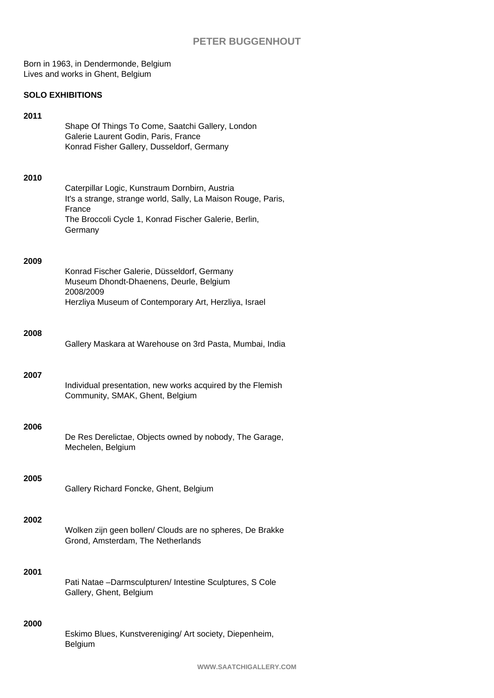Born in 1963, in Dendermonde, Belgium Lives and works in Ghent, Belgium

## **SOLO EXHIBITIONS**

| 2011 | Shape Of Things To Come, Saatchi Gallery, London<br>Galerie Laurent Godin, Paris, France<br>Konrad Fisher Gallery, Dusseldorf, Germany                                                        |
|------|-----------------------------------------------------------------------------------------------------------------------------------------------------------------------------------------------|
| 2010 | Caterpillar Logic, Kunstraum Dornbirn, Austria<br>It's a strange, strange world, Sally, La Maison Rouge, Paris,<br>France<br>The Broccoli Cycle 1, Konrad Fischer Galerie, Berlin,<br>Germany |
| 2009 | Konrad Fischer Galerie, Düsseldorf, Germany<br>Museum Dhondt-Dhaenens, Deurle, Belgium<br>2008/2009<br>Herzliya Museum of Contemporary Art, Herzliya, Israel                                  |
| 2008 | Gallery Maskara at Warehouse on 3rd Pasta, Mumbai, India                                                                                                                                      |
| 2007 | Individual presentation, new works acquired by the Flemish<br>Community, SMAK, Ghent, Belgium                                                                                                 |
| 2006 | De Res Derelictae, Objects owned by nobody, The Garage,<br>Mechelen, Belgium                                                                                                                  |
| 2005 | Gallery Richard Foncke, Ghent, Belgium                                                                                                                                                        |
| 2002 | Wolken zijn geen bollen/ Clouds are no spheres, De Brakke<br>Grond, Amsterdam, The Netherlands                                                                                                |
| 2001 | Pati Natae -Darmsculpturen/ Intestine Sculptures, S Cole<br>Gallery, Ghent, Belgium                                                                                                           |
| 2000 | Eskimo Blues, Kunstvereniging/ Art society, Diepenheim,<br>Belgium                                                                                                                            |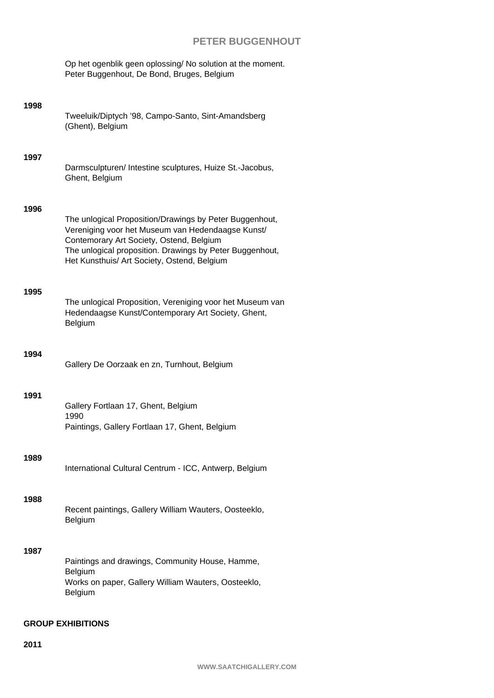Op het ogenblik geen oplossing/ No solution at the moment. Peter Buggenhout, De Bond, Bruges, Belgium

| 1998                     | Tweeluik/Diptych '98, Campo-Santo, Sint-Amandsberg<br>(Ghent), Belgium                                                                                                                                                                                              |  |
|--------------------------|---------------------------------------------------------------------------------------------------------------------------------------------------------------------------------------------------------------------------------------------------------------------|--|
| 1997                     | Darmsculpturen/ Intestine sculptures, Huize St.-Jacobus,<br>Ghent, Belgium                                                                                                                                                                                          |  |
| 1996                     | The unlogical Proposition/Drawings by Peter Buggenhout,<br>Vereniging voor het Museum van Hedendaagse Kunst/<br>Contemorary Art Society, Ostend, Belgium<br>The unlogical proposition. Drawings by Peter Buggenhout,<br>Het Kunsthuis/ Art Society, Ostend, Belgium |  |
| 1995                     | The unlogical Proposition, Vereniging voor het Museum van<br>Hedendaagse Kunst/Contemporary Art Society, Ghent,<br>Belgium                                                                                                                                          |  |
| 1994                     | Gallery De Oorzaak en zn, Turnhout, Belgium                                                                                                                                                                                                                         |  |
| 1991                     | Gallery Fortlaan 17, Ghent, Belgium<br>1990<br>Paintings, Gallery Fortlaan 17, Ghent, Belgium                                                                                                                                                                       |  |
| 1989                     | International Cultural Centrum - ICC, Antwerp, Belgium                                                                                                                                                                                                              |  |
| 1988                     | Recent paintings, Gallery William Wauters, Oosteeklo,<br>Belgium                                                                                                                                                                                                    |  |
| 1987                     | Paintings and drawings, Community House, Hamme,<br>Belgium<br>Works on paper, Gallery William Wauters, Oosteeklo,<br>Belgium                                                                                                                                        |  |
| <b>GROUP EXHIBITIONS</b> |                                                                                                                                                                                                                                                                     |  |

## **2011**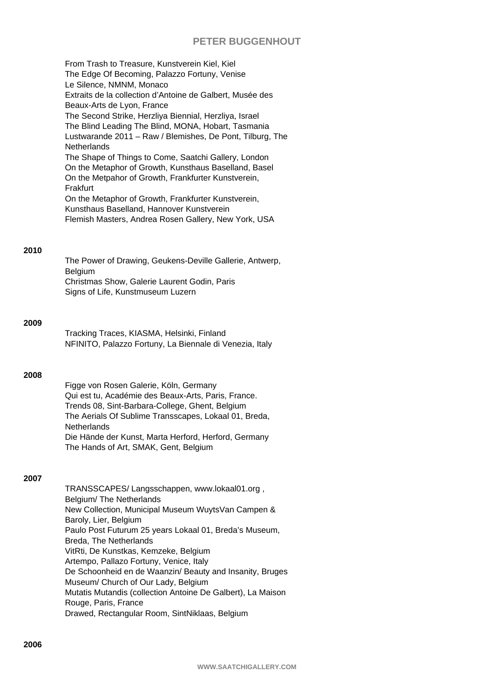From Trash to Treasure, Kunstverein Kiel, Kiel The Edge Of Becoming, Palazzo Fortuny, Venise Le Silence, NMNM, Monaco Extraits de la collection d'Antoine de Galbert, Musée des Beaux-Arts de Lyon, France The Second Strike, Herzliya Biennial, Herzliya, Israel The Blind Leading The Blind, MONA, Hobart, Tasmania Lustwarande 2011 – Raw / Blemishes, De Pont, Tilburg, The **Netherlands** The Shape of Things to Come, Saatchi Gallery, London On the Metaphor of Growth, Kunsthaus Baselland, Basel On the Metpahor of Growth, Frankfurter Kunstverein, Frakfurt On the Metaphor of Growth, Frankfurter Kunstverein, Kunsthaus Baselland, Hannover Kunstverein Flemish Masters, Andrea Rosen Gallery, New York, USA

## **2010**

The Power of Drawing, Geukens-Deville Gallerie, Antwerp, Belgium Christmas Show, Galerie Laurent Godin, Paris Signs of Life, Kunstmuseum Luzern

#### **2009**

Tracking Traces, KIASMA, Helsinki, Finland NFINITO, Palazzo Fortuny, La Biennale di Venezia, Italy

#### **2008**

Figge von Rosen Galerie, Köln, Germany Qui est tu, Académie des Beaux-Arts, Paris, France. Trends 08, Sint-Barbara-College, Ghent, Belgium The Aerials Of Sublime Transscapes, Lokaal 01, Breda, **Netherlands** Die Hände der Kunst, Marta Herford, Herford, Germany The Hands of Art, SMAK, Gent, Belgium

### **2007**

TRANSSCAPES/ Langsschappen, www.lokaal01.org , Belgium/ The Netherlands New Collection, Municipal Museum WuytsVan Campen & Baroly, Lier, Belgium Paulo Post Futurum 25 years Lokaal 01, Breda's Museum, Breda, The Netherlands VitRti, De Kunstkas, Kemzeke, Belgium Artempo, Pallazo Fortuny, Venice, Italy De Schoonheid en de Waanzin/ Beauty and Insanity, Bruges Museum/ Church of Our Lady, Belgium Mutatis Mutandis (collection Antoine De Galbert), La Maison Rouge, Paris, France Drawed, Rectangular Room, SintNiklaas, Belgium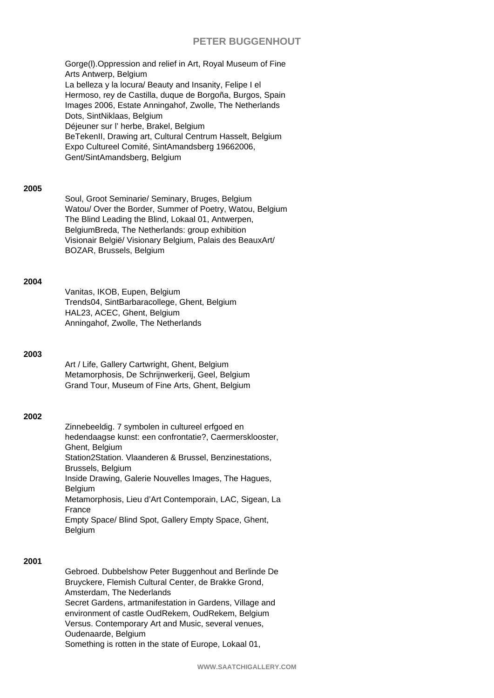Gorge(l).Oppression and relief in Art, Royal Museum of Fine Arts Antwerp, Belgium La belleza y la locura/ Beauty and Insanity, Felipe I el Hermoso, rey de Castilla, duque de Borgoña, Burgos, Spain Images 2006, Estate Anningahof, Zwolle, The Netherlands Dots, SintNiklaas, Belgium Déjeuner sur l' herbe, Brakel, Belgium BeTekenII, Drawing art, Cultural Centrum Hasselt, Belgium Expo Cultureel Comité, SintAmandsberg 19662006, Gent/SintAmandsberg, Belgium

#### **2005**

Soul, Groot Seminarie/ Seminary, Bruges, Belgium Watou/ Over the Border, Summer of Poetry, Watou, Belgium The Blind Leading the Blind, Lokaal 01, Antwerpen, BelgiumBreda, The Netherlands: group exhibition Visionair België/ Visionary Belgium, Palais des BeauxArt/ BOZAR, Brussels, Belgium

### **2004**

Vanitas, IKOB, Eupen, Belgium Trends04, SintBarbaracollege, Ghent, Belgium HAL23, ACEC, Ghent, Belgium Anningahof, Zwolle, The Netherlands

#### **2003**

Art / Life, Gallery Cartwright, Ghent, Belgium Metamorphosis, De Schrijnwerkerij, Geel, Belgium Grand Tour, Museum of Fine Arts, Ghent, Belgium

#### **2002**

Zinnebeeldig. 7 symbolen in cultureel erfgoed en hedendaagse kunst: een confrontatie?, Caermersklooster, Ghent, Belgium Station2Station. Vlaanderen & Brussel, Benzinestations, Brussels, Belgium Inside Drawing, Galerie Nouvelles Images, The Hagues, Belgium Metamorphosis, Lieu d'Art Contemporain, LAC, Sigean, La France Empty Space/ Blind Spot, Gallery Empty Space, Ghent, Belgium

### **2001**

Gebroed. Dubbelshow Peter Buggenhout and Berlinde De Bruyckere, Flemish Cultural Center, de Brakke Grond, Amsterdam, The Nederlands Secret Gardens, artmanifestation in Gardens, Village and environment of castle OudRekem, OudRekem, Belgium Versus. Contemporary Art and Music, several venues, Oudenaarde, Belgium Something is rotten in the state of Europe, Lokaal 01,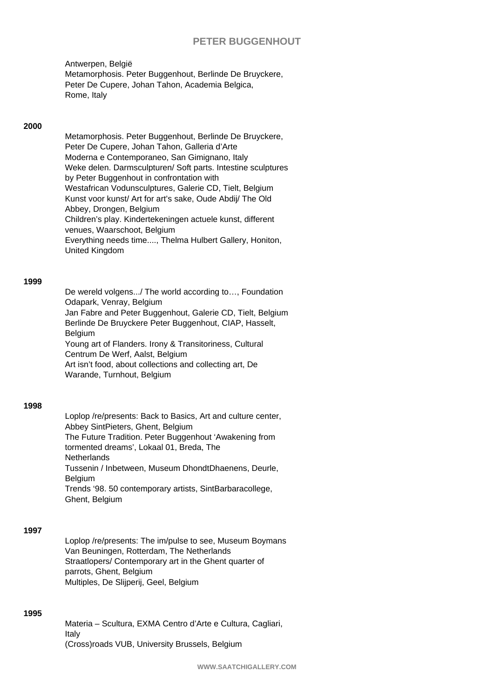Antwerpen, België Metamorphosis. Peter Buggenhout, Berlinde De Bruyckere, Peter De Cupere, Johan Tahon, Academia Belgica, Rome, Italy

## **2000**

Metamorphosis. Peter Buggenhout, Berlinde De Bruyckere, Peter De Cupere, Johan Tahon, Galleria d'Arte Moderna e Contemporaneo, San Gimignano, Italy Weke delen. Darmsculpturen/ Soft parts. Intestine sculptures by Peter Buggenhout in confrontation with Westafrican Vodunsculptures, Galerie CD, Tielt, Belgium Kunst voor kunst/ Art for art's sake, Oude Abdij/ The Old Abbey, Drongen, Belgium Children's play. Kindertekeningen actuele kunst, different venues, Waarschoot, Belgium Everything needs time...., Thelma Hulbert Gallery, Honiton, United Kingdom

#### **1999**

De wereld volgens.../ The world according to…, Foundation Odapark, Venray, Belgium Jan Fabre and Peter Buggenhout, Galerie CD, Tielt, Belgium Berlinde De Bruyckere Peter Buggenhout, CIAP, Hasselt, Belgium Young art of Flanders. Irony & Transitoriness, Cultural Centrum De Werf, Aalst, Belgium Art isn't food, about collections and collecting art, De Warande, Turnhout, Belgium

#### **1998**

Loplop /re/presents: Back to Basics, Art and culture center, Abbey SintPieters, Ghent, Belgium The Future Tradition. Peter Buggenhout 'Awakening from tormented dreams', Lokaal 01, Breda, The **Netherlands** Tussenin / Inbetween, Museum DhondtDhaenens, Deurle, **Belgium** Trends '98. 50 contemporary artists, SintBarbaracollege, Ghent, Belgium

### **1997**

Loplop /re/presents: The im/pulse to see, Museum Boymans Van Beuningen, Rotterdam, The Netherlands Straatlopers/ Contemporary art in the Ghent quarter of parrots, Ghent, Belgium Multiples, De Slijperij, Geel, Belgium

## **1995**

Materia – Scultura, EXMA Centro d'Arte e Cultura, Cagliari, Italy (Cross)roads VUB, University Brussels, Belgium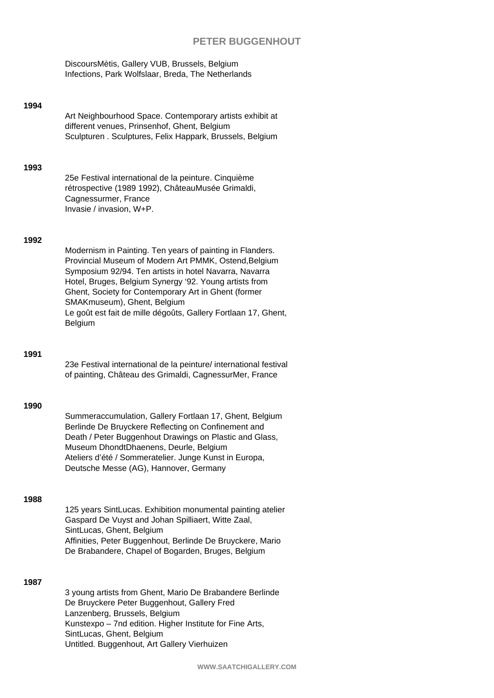DiscoursMètis, Gallery VUB, Brussels, Belgium Infections, Park Wolfslaar, Breda, The Netherlands

### **1994**

Art Neighbourhood Space. Contemporary artists exhibit at different venues, Prinsenhof, Ghent, Belgium Sculpturen . Sculptures, Felix Happark, Brussels, Belgium

#### **1993**

25e Festival international de la peinture. Cinquième rétrospective (1989 1992), ChâteauMusée Grimaldi, Cagnessurmer, France Invasie / invasion, W+P.

### **1992**

Modernism in Painting. Ten years of painting in Flanders. Provincial Museum of Modern Art PMMK, Ostend,Belgium Symposium 92/94. Ten artists in hotel Navarra, Navarra Hotel, Bruges, Belgium Synergy '92. Young artists from Ghent, Society for Contemporary Art in Ghent (former SMAKmuseum), Ghent, Belgium Le goût est fait de mille dégoûts, Gallery Fortlaan 17, Ghent, **Belgium** 

#### **1991**

23e Festival international de la peinture/ international festival of painting, Château des Grimaldi, CagnessurMer, France

#### **1990**

Summeraccumulation, Gallery Fortlaan 17, Ghent, Belgium Berlinde De Bruyckere Reflecting on Confinement and Death / Peter Buggenhout Drawings on Plastic and Glass, Museum DhondtDhaenens, Deurle, Belgium Ateliers d'été / Sommeratelier. Junge Kunst in Europa, Deutsche Messe (AG), Hannover, Germany

### **1988**

125 years SintLucas. Exhibition monumental painting atelier Gaspard De Vuyst and Johan Spilliaert, Witte Zaal, SintLucas, Ghent, Belgium Affinities, Peter Buggenhout, Berlinde De Bruyckere, Mario De Brabandere, Chapel of Bogarden, Bruges, Belgium

#### **1987**

3 young artists from Ghent, Mario De Brabandere Berlinde De Bruyckere Peter Buggenhout, Gallery Fred Lanzenberg, Brussels, Belgium Kunstexpo – 7nd edition. Higher Institute for Fine Arts, SintLucas, Ghent, Belgium Untitled. Buggenhout, Art Gallery Vierhuizen